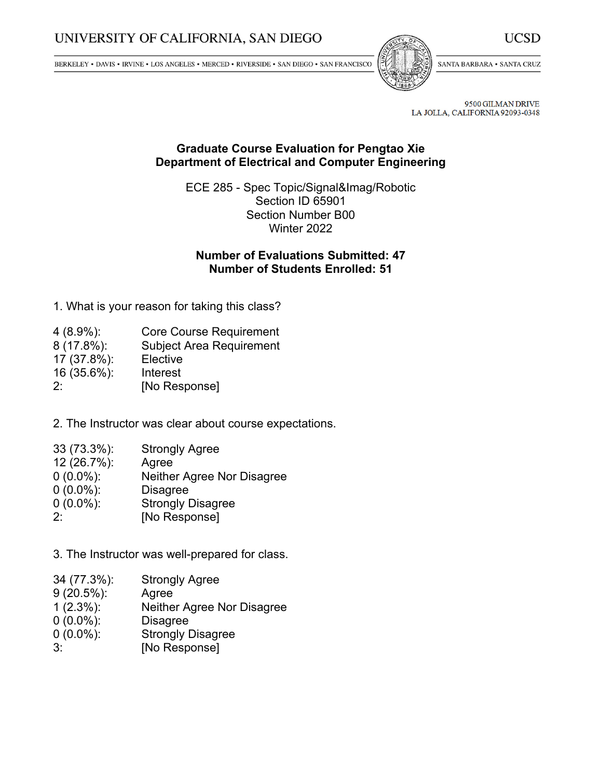BERKELEY • DAVIS • IRVINE • LOS ANGELES • MERCED • RIVERSIDE • SAN DIEGO • SAN FRANCISCO



SANTA BARBARA . SANTA CRUZ

9500 GILMAN DRIVE LA JOLLA, CALIFORNIA 92093-0348

## **Graduate Course Evaluation for Pengtao Xie Department of Electrical and Computer Engineering**

ECE 285 - Spec Topic/Signal&Imag/Robotic Section ID 65901 Section Number B00 Winter 2022

## **Number of Evaluations Submitted: 47 Number of Students Enrolled: 51**

1. What is your reason for taking this class?

| $4(8.9\%)$ : | <b>Core Course Requirement</b>  |
|--------------|---------------------------------|
| 8 (17.8%):   | <b>Subject Area Requirement</b> |
| 17 (37.8%):  | Elective                        |
| 16 (35.6%):  | Interest                        |
| $2^{\cdot}$  | [No Response]                   |

2. The Instructor was clear about course expectations.

| 33 (73.3%):  | <b>Strongly Agree</b>      |
|--------------|----------------------------|
| 12 (26.7%):  | Agree                      |
| $0(0.0\%)$ : | Neither Agree Nor Disagree |
| $0(0.0\%)$ : | <b>Disagree</b>            |

- 0 (0.0%): Strongly Disagree
- 2: [No Response]

3. The Instructor was well-prepared for class.

- 34 (77.3%): Strongly Agree
- 9 (20.5%): Agree<br>1 (2.3%): Neithe
- Neither Agree Nor Disagree
- 0 (0.0%): Disagree
- 0 (0.0%): Strongly Disagree
- 3: [No Response]

UCSD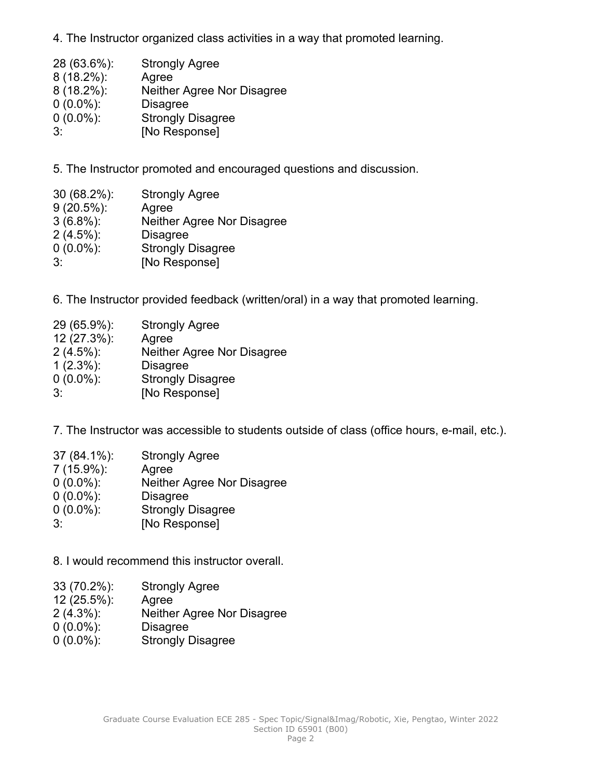4. The Instructor organized class activities in <sup>a</sup> way that promoted learning.

| 28 (63.6%):   | <b>Strongly Agree</b>      |
|---------------|----------------------------|
| $8(18.2\%)$ : | Agree                      |
| $8(18.2\%)$ : | Neither Agree Nor Disagree |
| $0(0.0\%)$ :  | <b>Disagree</b>            |
| $0(0.0\%)$ :  | <b>Strongly Disagree</b>   |
| $3^{\cdot}$   | [No Response]              |

5. The Instructor promoted and encouraged questions and discussion.

| $30(68.2\%)$ : | <b>Strongly Agree</b>      |
|----------------|----------------------------|
| $9(20.5\%)$ :  | Agree                      |
| $3(6.8\%)$ :   | Neither Agree Nor Disagree |
| $2(4.5\%)$ :   | <b>Disagree</b>            |
| $0(0.0\%)$ :   | <b>Strongly Disagree</b>   |
| 3:             | [No Response]              |

6. The Instructor provided feedback (written/oral) in <sup>a</sup> way that promoted learning.

| 29 (65.9%):  | <b>Strongly Agree</b>      |
|--------------|----------------------------|
| 12 (27.3%):  | Agree                      |
| $2(4.5\%)$ : | Neither Agree Nor Disagree |
| $1(2.3\%)$ : | <b>Disagree</b>            |
| $0(0.0\%)$ : | <b>Strongly Disagree</b>   |
| $3^{\cdot}$  | [No Response]              |

7. The Instructor was accessible to students outside of class (office hours, e-mail, etc.).

| 37 (84.1%):  | <b>Strongly Agree</b>      |
|--------------|----------------------------|
| 7 (15.9%):   | Agree                      |
| $0(0.0\%)$ : | Neither Agree Nor Disagree |
| $0(0.0\%)$ : | <b>Disagree</b>            |
| $0(0.0\%)$ : | <b>Strongly Disagree</b>   |
| $3^{\cdot}$  | [No Response]              |

8. I would recommend this instructor overall.

- 33 (70.2%): Strongly Agree
- 12 (25.5%): Agree
- 2 (4.3%): Neither Agree Nor Disagree
- 0 (0.0%): Disagree
- 0 (0.0%): Strongly Disagree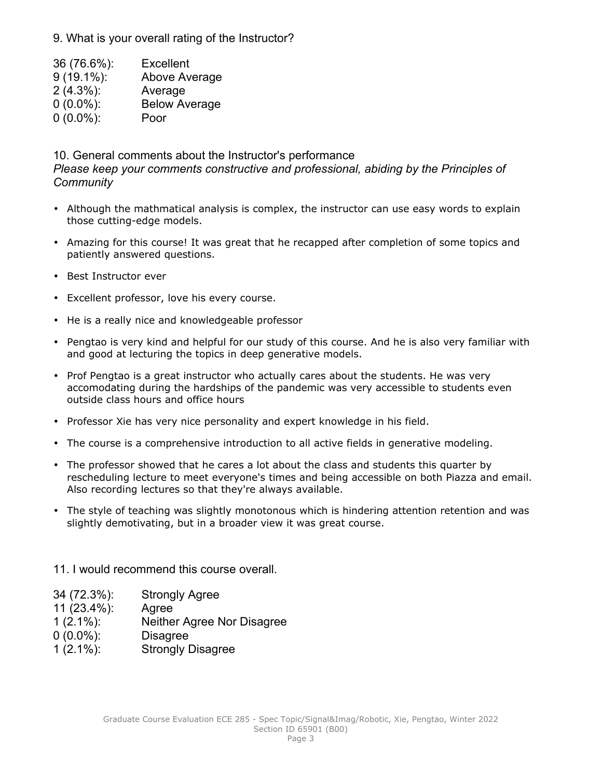9. What is your overall rating of the Instructor?

| 36 (76.6%):   | Excellent            |
|---------------|----------------------|
| $9(19.1\%)$ : | Above Average        |
| $2(4.3\%)$ :  | Average              |
| $0(0.0\%)$ :  | <b>Below Average</b> |

0 (0.0%): Poor

10. General comments about the Instructor's performance

*Please keep your comments constructive and professional, abiding by the Principles of Community*

- Although the mathmatical analysis is complex, the instructor can use easy words to explain those cutting-edge models.
- Amazing for this course! It was great that he recapped after completion of some topics and patiently answered questions.
- Best Instructor ever
- Excellent professor, love his every course.
- He is <sup>a</sup> really nice and knowledgeable professor
- Pengtao is very kind and helpful for our study of this course. And he is also very familiar with and good at lecturing the topics in deep generative models.
- Prof Pengtao is <sup>a</sup> great instructor who actually cares about the students. He was very accomodating during the hardships of the pandemic was very accessible to students even outside class hours and office hours
- Professor Xie has very nice personality and expert knowledge in his field.
- The course is <sup>a</sup> comprehensive introduction to all active fields in generative modeling.
- The professor showed that he cares <sup>a</sup> lot about the class and students this quarter by rescheduling lecture to meet everyone's times and being accessible on both Piazza and email. Also recording lectures so that they're always available.
- The style of teaching was slightly monotonous which is hindering attention retention and was slightly demotivating, but in <sup>a</sup> broader view it was great course.

11. I would recommend this course overall.

- 34 (72.3%): Strongly Agree
- 11 (23.4%): Agree
- 1 (2.1%): Neither Agree Nor Disagree
- 0 (0.0%): Disagree
- 1 (2.1%): Strongly Disagree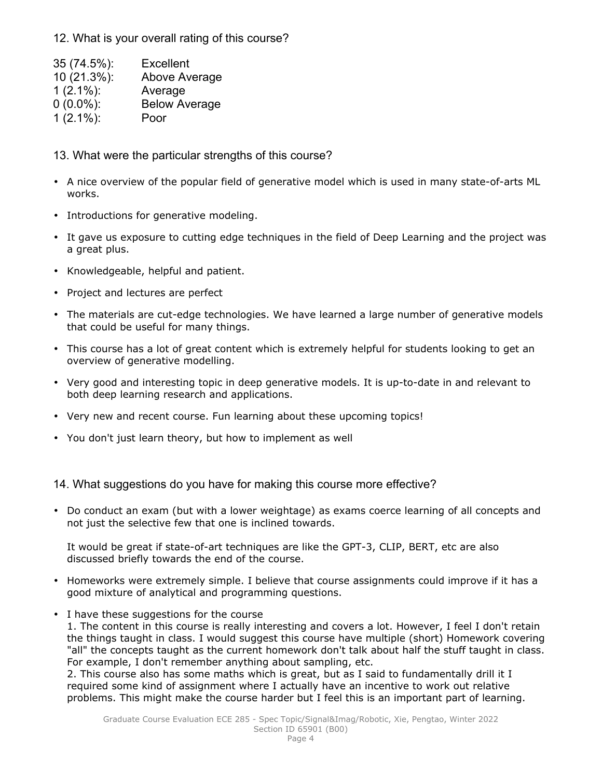12. What is your overall rating of this course?

| 35 (74.5%):  | <b>Excellent</b>     |
|--------------|----------------------|
| 10 (21.3%):  | Above Average        |
| $1(2.1\%)$ : | Average              |
| $0(0.0\%)$ : | <b>Below Average</b> |
| $1(2.1\%)$ : | Poor                 |

13. What were the particular strengths of this course?

- A nice overview of the popular field of generative model which is used in many state-of-arts ML works.
- Introductions for generative modeling.
- It gave us exposure to cutting edge techniques in the field of Deep Learning and the project was <sup>a</sup> great plus.
- Knowledgeable, helpful and patient.
- Project and lectures are perfect
- The materials are cut-edge technologies. We have learned <sup>a</sup> large number of generative models that could be useful for many things.
- This course has <sup>a</sup> lot of great content which is extremely helpful for students looking to get an overview of generative modelling.
- Very good and interesting topic in deep generative models. It is up-to-date in and relevant to both deep learning research and applications.
- Very new and recent course. Fun learning about these upcoming topics!
- You don't just learn theory, but how to implement as well

14. What suggestions do you have for making this course more effective?

• Do conduct an exam (but with <sup>a</sup> lower weightage) as exams coerce learning of all concepts and not just the selective few that one is inclined towards.

It would be great if state-of-art techniques are like the GPT-3, CLIP, BERT, etc are also discussed briefly towards the end of the course.

- Homeworks were extremely simple. I believe that course assignments could improve if it has <sup>a</sup> good mixture of analytical and programming questions.
- I have these suggestions for the course

1. The content in this course is really interesting and covers <sup>a</sup> lot. However, I feel I don't retain the things taught in class. I would suggest this course have multiple (short) Homework covering "all" the concepts taught as the current homework don't talk about half the stuff taught in class. For example, I don't remember anything about sampling, etc.

2. This course also has some maths which is great, but as I said to fundamentally drill it I required some kind of assignment where I actually have an incentive to work out relative problems. This might make the course harder but I feel this is an important part of learning.